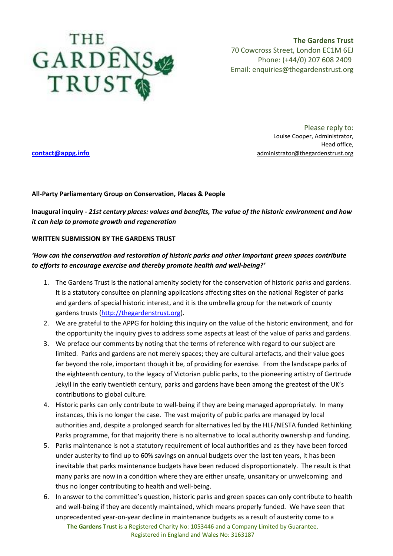

**The Gardens Trust** 70 Cowcross Street, London EC1M 6EJ Phone: (+44/0) 207 608 2409 Email: [enquiries@thegardenstrust.org](mailto:enquiries@thegardenstrust.org)

Please reply to: Louise Cooper, Administrator, Head office, **[contact@appg.info](mailto:contact@appg.info)** administrator@thegardenstrust.org

## **All-Party Parliamentary Group on Conservation, Places & People**

**Inaugural inquiry -** *21st century places: values and benefits, The value of the historic environment and how it can help to promote growth and regeneration*

## **WRITTEN SUBMISSION BY THE GARDENS TRUST**

## *'How can the conservation and restoration of historic parks and other important green spaces contribute to efforts to encourage exercise and thereby promote health and well-being?'*

- 1. The Gardens Trust is the national amenity society for the conservation of historic parks and gardens. It is a statutory consultee on planning applications affecting sites on the national Register of parks and gardens of special historic interest, and it is the umbrella group for the network of county gardens trusts [\(http://thegardenstrust.org\)](http://thegardenstrust.org/).
- 2. We are grateful to the APPG for holding this inquiry on the value of the historic environment, and for the opportunity the inquiry gives to address some aspects at least of the value of parks and gardens.
- 3. We preface our comments by noting that the terms of reference with regard to our subject are limited. Parks and gardens are not merely spaces; they are cultural artefacts, and their value goes far beyond the role, important though it be, of providing for exercise. From the landscape parks of the eighteenth century, to the legacy of Victorian public parks, to the pioneering artistry of Gertrude Jekyll in the early twentieth century, parks and gardens have been among the greatest of the UK's contributions to global culture.
- 4. Historic parks can only contribute to well-being if they are being managed appropriately. In many instances, this is no longer the case. The vast majority of public parks are managed by local authorities and, despite a prolonged search for alternatives led by the HLF/NESTA funded Rethinking Parks programme, for that majority there is no alternative to local authority ownership and funding.
- 5. Parks maintenance is not a statutory requirement of local authorities and as they have been forced under austerity to find up to 60% savings on annual budgets over the last ten years, it has been inevitable that parks maintenance budgets have been reduced disproportionately. The result is that many parks are now in a condition where they are either unsafe, unsanitary or unwelcoming and thus no longer contributing to health and well-being.
- **The Gardens Trust** is a Registered Charity No: 1053446 and a Company Limited by Guarantee, 6. In answer to the committee's question, historic parks and green spaces can only contribute to health and well-being if they are decently maintained, which means properly funded. We have seen that unprecedented year-on-year decline in maintenance budgets as a result of austerity come to a

Registered in England and Wales No: 3163187